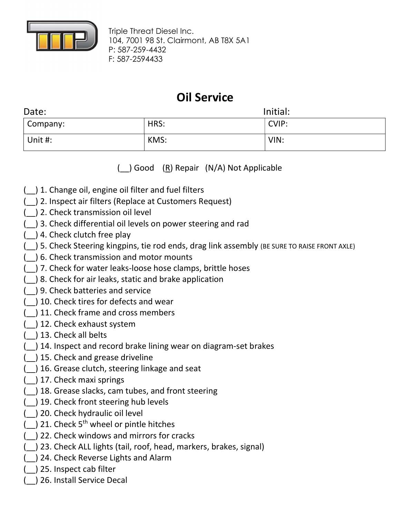

Triple Threat Diesel Inc. 104, 7001 98 St. Clairmont, AB T8X 5A1 P: 587-259-4432 F: 587-2594433

## Oil Service

| Initial:<br>Date: |      |       |
|-------------------|------|-------|
| $\vert$ Company:  | HRS: | CVIP: |
| Unit #:           | KMS: | VIN:  |

( ) Good (R) Repair (N/A) Not Applicable

- (\_\_) 1. Change oil, engine oil filter and fuel filters
- (\_\_) 2. Inspect air filters (Replace at Customers Request)
- (\_\_) 2. Check transmission oil level
- (\_\_) 3. Check differential oil levels on power steering and rad
- $($ ) 4. Check clutch free play
- (\_\_) 5. Check Steering kingpins, tie rod ends, drag link assembly (BE SURE TO RAISE FRONT AXLE)
- (\_\_) 6. Check transmission and motor mounts
- (\_\_) 7. Check for water leaks-loose hose clamps, brittle hoses
- (\_\_) 8. Check for air leaks, static and brake application
- (\_\_) 9. Check batteries and service
- (\_\_) 10. Check tires for defects and wear
- (\_\_) 11. Check frame and cross members
- (\_\_) 12. Check exhaust system
- (\_\_) 13. Check all belts
- (\_\_) 14. Inspect and record brake lining wear on diagram-set brakes
- (\_\_) 15. Check and grease driveline
- (\_\_) 16. Grease clutch, steering linkage and seat
- (\_\_) 17. Check maxi springs
- (\_\_) 18. Grease slacks, cam tubes, and front steering
- (\_\_) 19. Check front steering hub levels
- (\_\_) 20. Check hydraulic oil level
- $($ ) 21. Check 5<sup>th</sup> wheel or pintle hitches
- (\_\_) 22. Check windows and mirrors for cracks
- (\_\_) 23. Check ALL lights (tail, roof, head, markers, brakes, signal)
- (\_\_) 24. Check Reverse Lights and Alarm
- (\_\_) 25. Inspect cab filter
- (\_\_) 26. Install Service Decal